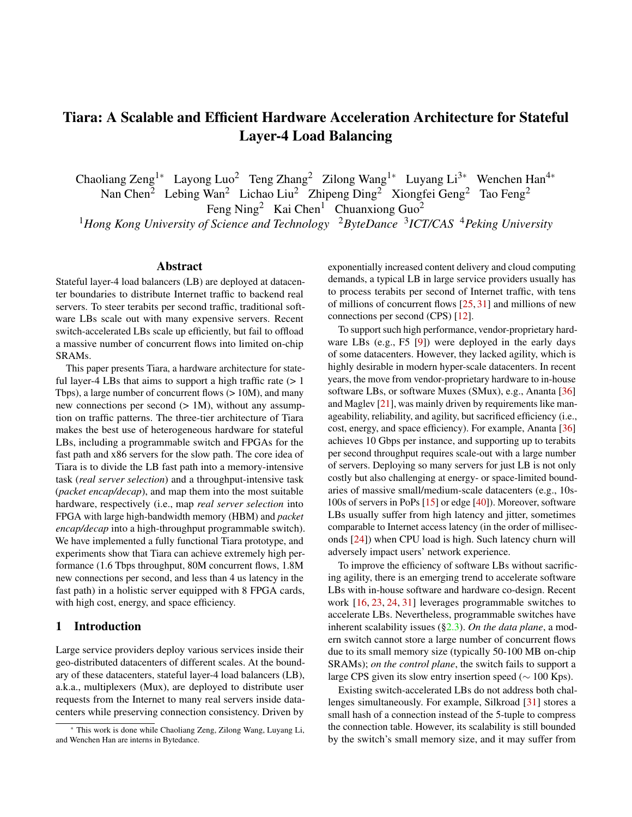# Tiara: A Scalable and Efficient Hardware Acceleration Architecture for Stateful Layer-4 Load Balancing

Chaoliang Zeng<sup>1∗</sup> Layong Luo<sup>2</sup> Teng Zhang<sup>2</sup> Zilong Wang<sup>1∗</sup> Luyang Li<sup>3∗</sup> Wenchen Han<sup>4∗</sup>

Nan Chen<sup>2</sup> Lebing Wan<sup>2</sup> Lichao Liu<sup>2</sup> Zhipeng Ding<sup>2</sup> Xiongfei Geng<sup>2</sup> Tao Feng<sup>2</sup> Feng Ning<sup>2</sup> Kai Chen<sup>1</sup> Chuanxiong Guo<sup>2</sup>

<sup>1</sup>Hong Kong University of Science and Technology <sup>2</sup>ByteDance <sup>3</sup>ICT/CAS <sup>4</sup>Peking University

#### Abstract

Stateful layer-4 load balancers (LB) are deployed at datacenter boundaries to distribute Internet traffic to backend real servers. To steer terabits per second traffic, traditional software LBs scale out with many expensive servers. Recent switch-accelerated LBs scale up efficiently, but fail to offload a massive number of concurrent flows into limited on-chip SRAMs.

This paper presents Tiara, a hardware architecture for stateful layer-4 LBs that aims to support a high traffic rate  $(> 1$ Tbps), a large number of concurrent flows ( $> 10M$ ), and many new connections per second  $(1)$  = 1M), without any assumption on traffic patterns. The three-tier architecture of Tiara makes the best use of heterogeneous hardware for stateful LBs, including a programmable switch and FPGAs for the fast path and x86 servers for the slow path. The core idea of Tiara is to divide the LB fast path into a memory-intensive task (*real server selection*) and a throughput-intensive task (*packet encap/decap*), and map them into the most suitable hardware, respectively (i.e., map *real server selection* into FPGA with large high-bandwidth memory (HBM) and *packet encap/decap* into a high-throughput programmable switch). We have implemented a fully functional Tiara prototype, and experiments show that Tiara can achieve extremely high performance (1.6 Tbps throughput, 80M concurrent flows, 1.8M new connections per second, and less than 4 us latency in the fast path) in a holistic server equipped with 8 FPGA cards, with high cost, energy, and space efficiency.

# 1 Introduction

Large service providers deploy various services inside their geo-distributed datacenters of different scales. At the boundary of these datacenters, stateful layer-4 load balancers (LB), a.k.a., multiplexers (Mux), are deployed to distribute user requests from the Internet to many real servers inside datacenters while preserving connection consistency. Driven by

exponentially increased content delivery and cloud computing demands, a typical LB in large service providers usually has to process terabits per second of Internet traffic, with tens of millions of concurrent flows [\[25,](#page-12-0) [31\]](#page-13-0) and millions of new connections per second (CPS) [\[12\]](#page-12-1).

To support such high performance, vendor-proprietary hardware LBs (e.g., F5 [\[9\]](#page-12-2)) were deployed in the early days of some datacenters. However, they lacked agility, which is highly desirable in modern hyper-scale datacenters. In recent years, the move from vendor-proprietary hardware to in-house software LBs, or software Muxes (SMux), e.g., Ananta [\[36\]](#page-13-1) and Maglev [\[21\]](#page-12-3), was mainly driven by requirements like manageability, reliability, and agility, but sacrificed efficiency (i.e., cost, energy, and space efficiency). For example, Ananta [\[36\]](#page-13-1) achieves 10 Gbps per instance, and supporting up to terabits per second throughput requires scale-out with a large number of servers. Deploying so many servers for just LB is not only costly but also challenging at energy- or space-limited boundaries of massive small/medium-scale datacenters (e.g., 10s-100s of servers in PoPs [\[15\]](#page-12-4) or edge [\[40\]](#page-13-2)). Moreover, software LBs usually suffer from high latency and jitter, sometimes comparable to Internet access latency (in the order of milliseconds [\[24\]](#page-12-5)) when CPU load is high. Such latency churn will adversely impact users' network experience.

To improve the efficiency of software LBs without sacrificing agility, there is an emerging trend to accelerate software LBs with in-house software and hardware co-design. Recent work [\[16,](#page-12-6) [23,](#page-12-7) [24,](#page-12-5) [31\]](#page-13-0) leverages programmable switches to accelerate LBs. Nevertheless, programmable switches have inherent scalability issues ([§2.3\)](#page-2-0). *On the data plane*, a modern switch cannot store a large number of concurrent flows due to its small memory size (typically 50-100 MB on-chip SRAMs); *on the control plane*, the switch fails to support a large CPS given its slow entry insertion speed ( $\sim 100$  Kps).

Existing switch-accelerated LBs do not address both challenges simultaneously. For example, Silkroad [\[31\]](#page-13-0) stores a small hash of a connection instead of the 5-tuple to compress the connection table. However, its scalability is still bounded by the switch's small memory size, and it may suffer from

<sup>∗</sup> This work is done while Chaoliang Zeng, Zilong Wang, Luyang Li, and Wenchen Han are interns in Bytedance.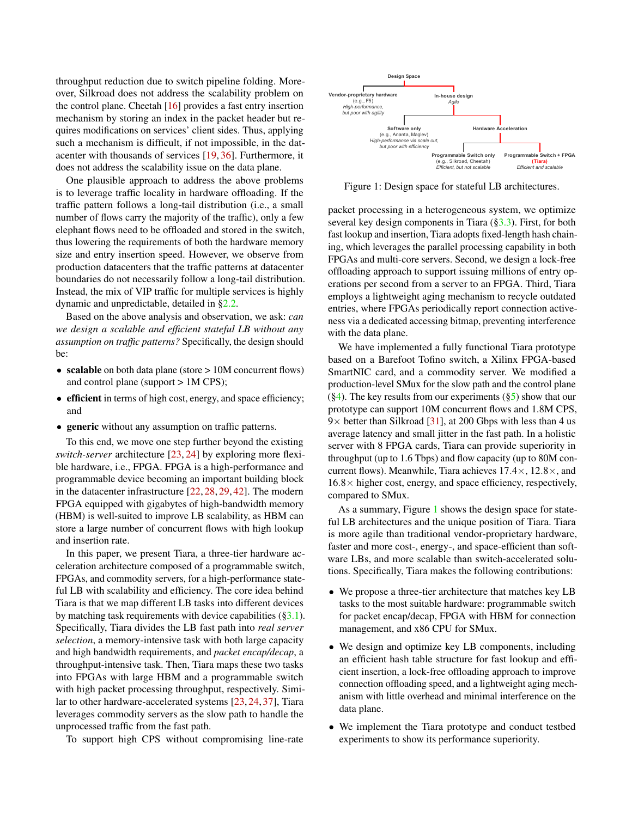throughput reduction due to switch pipeline folding. Moreover, Silkroad does not address the scalability problem on the control plane. Cheetah [\[16\]](#page-12-6) provides a fast entry insertion mechanism by storing an index in the packet header but requires modifications on services' client sides. Thus, applying such a mechanism is difficult, if not impossible, in the datacenter with thousands of services [\[19,](#page-12-8) [36\]](#page-13-1). Furthermore, it does not address the scalability issue on the data plane.

One plausible approach to address the above problems is to leverage traffic locality in hardware offloading. If the traffic pattern follows a long-tail distribution (i.e., a small number of flows carry the majority of the traffic), only a few elephant flows need to be offloaded and stored in the switch, thus lowering the requirements of both the hardware memory size and entry insertion speed. However, we observe from production datacenters that the traffic patterns at datacenter boundaries do not necessarily follow a long-tail distribution. Instead, the mix of VIP traffic for multiple services is highly dynamic and unpredictable, detailed in [§2.2.](#page-2-1)

Based on the above analysis and observation, we ask: *can we design a scalable and efficient stateful LB without any assumption on traffic patterns?* Specifically, the design should be:

- scalable on both data plane (store > 10M concurrent flows) and control plane (support > 1M CPS);
- efficient in terms of high cost, energy, and space efficiency; and
- generic without any assumption on traffic patterns.

To this end, we move one step further beyond the existing *switch-server* architecture [\[23,](#page-12-7) [24\]](#page-12-5) by exploring more flexible hardware, i.e., FPGA. FPGA is a high-performance and programmable device becoming an important building block in the datacenter infrastructure [\[22,](#page-12-9) [28,](#page-12-10) [29,](#page-13-3) [42\]](#page-13-4). The modern FPGA equipped with gigabytes of high-bandwidth memory (HBM) is well-suited to improve LB scalability, as HBM can store a large number of concurrent flows with high lookup and insertion rate.

In this paper, we present Tiara, a three-tier hardware acceleration architecture composed of a programmable switch, FPGAs, and commodity servers, for a high-performance stateful LB with scalability and efficiency. The core idea behind Tiara is that we map different LB tasks into different devices by matching task requirements with device capabilities ([§3.1\)](#page-3-0). Specifically, Tiara divides the LB fast path into *real server selection*, a memory-intensive task with both large capacity and high bandwidth requirements, and *packet encap/decap*, a throughput-intensive task. Then, Tiara maps these two tasks into FPGAs with large HBM and a programmable switch with high packet processing throughput, respectively. Similar to other hardware-accelerated systems [\[23,](#page-12-7) [24,](#page-12-5) [37\]](#page-13-5), Tiara leverages commodity servers as the slow path to handle the unprocessed traffic from the fast path.

To support high CPS without compromising line-rate

<span id="page-1-0"></span>

Figure 1: Design space for stateful LB architectures.

packet processing in a heterogeneous system, we optimize several key design components in Tiara ([§3.3\)](#page-5-0). First, for both fast lookup and insertion, Tiara adopts fixed-length hash chaining, which leverages the parallel processing capability in both FPGAs and multi-core servers. Second, we design a lock-free offloading approach to support issuing millions of entry operations per second from a server to an FPGA. Third, Tiara employs a lightweight aging mechanism to recycle outdated entries, where FPGAs periodically report connection activeness via a dedicated accessing bitmap, preventing interference with the data plane.

We have implemented a fully functional Tiara prototype based on a Barefoot Tofino switch, a Xilinx FPGA-based SmartNIC card, and a commodity server. We modified a production-level SMux for the slow path and the control plane  $(\S4)$ . The key results from our experiments  $(\S5)$  show that our prototype can support 10M concurrent flows and 1.8M CPS,  $9\times$  better than Silkroad [\[31\]](#page-13-0), at 200 Gbps with less than 4 us average latency and small jitter in the fast path. In a holistic server with 8 FPGA cards, Tiara can provide superiority in throughput (up to 1.6 Tbps) and flow capacity (up to 80M concurrent flows). Meanwhile, Tiara achieves  $17.4 \times$ ,  $12.8 \times$ , and  $16.8\times$  higher cost, energy, and space efficiency, respectively, compared to SMux.

As a summary, Figure [1](#page-1-0) shows the design space for stateful LB architectures and the unique position of Tiara. Tiara is more agile than traditional vendor-proprietary hardware, faster and more cost-, energy-, and space-efficient than software LBs, and more scalable than switch-accelerated solutions. Specifically, Tiara makes the following contributions:

- We propose a three-tier architecture that matches key LB tasks to the most suitable hardware: programmable switch for packet encap/decap, FPGA with HBM for connection management, and x86 CPU for SMux.
- We design and optimize key LB components, including an efficient hash table structure for fast lookup and efficient insertion, a lock-free offloading approach to improve connection offloading speed, and a lightweight aging mechanism with little overhead and minimal interference on the data plane.
- We implement the Tiara prototype and conduct testbed experiments to show its performance superiority.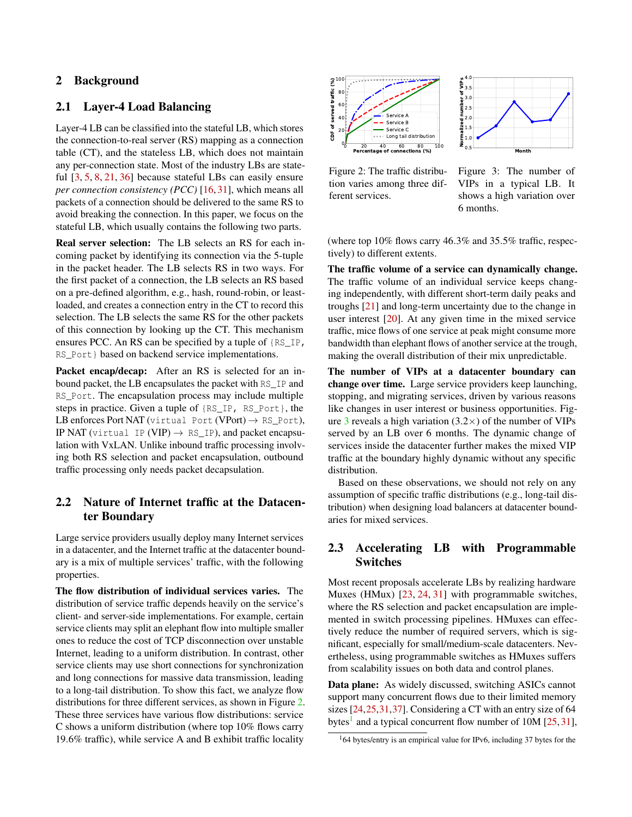# 2 Background

# 2.1 Layer-4 Load Balancing

Layer-4 LB can be classified into the stateful LB, which stores the connection-to-real server (RS) mapping as a connection table (CT), and the stateless LB, which does not maintain any per-connection state. Most of the industry LBs are stateful [\[3,](#page-12-11) [5,](#page-12-12) [8,](#page-12-13) [21,](#page-12-3) [36\]](#page-13-1) because stateful LBs can easily ensure *per connection consistency (PCC)* [\[16,](#page-12-6) [31\]](#page-13-0), which means all packets of a connection should be delivered to the same RS to avoid breaking the connection. In this paper, we focus on the stateful LB, which usually contains the following two parts.

Real server selection: The LB selects an RS for each incoming packet by identifying its connection via the 5-tuple in the packet header. The LB selects RS in two ways. For the first packet of a connection, the LB selects an RS based on a pre-defined algorithm, e.g., hash, round-robin, or leastloaded, and creates a connection entry in the CT to record this selection. The LB selects the same RS for the other packets of this connection by looking up the CT. This mechanism ensures PCC. An RS can be specified by a tuple of {RS\_IP, RS Port } based on backend service implementations.

Packet encap/decap: After an RS is selected for an inbound packet, the LB encapsulates the packet with RS\_IP and RS\_Port. The encapsulation process may include multiple steps in practice. Given a tuple of {RS\_IP, RS\_Port}, the LB enforces Port NAT (virtual Port (VPort)  $\rightarrow$  RS\_Port), IP NAT (virtual IP (VIP)  $\rightarrow$  RS IP), and packet encapsulation with VxLAN. Unlike inbound traffic processing involving both RS selection and packet encapsulation, outbound traffic processing only needs packet decapsulation.

# <span id="page-2-1"></span>2.2 Nature of Internet traffic at the Datacenter Boundary

Large service providers usually deploy many Internet services in a datacenter, and the Internet traffic at the datacenter boundary is a mix of multiple services' traffic, with the following properties.

The flow distribution of individual services varies. The distribution of service traffic depends heavily on the service's client- and server-side implementations. For example, certain service clients may split an elephant flow into multiple smaller ones to reduce the cost of TCP disconnection over unstable Internet, leading to a uniform distribution. In contrast, other service clients may use short connections for synchronization and long connections for massive data transmission, leading to a long-tail distribution. To show this fact, we analyze flow distributions for three different services, as shown in Figure [2.](#page-2-2) These three services have various flow distributions: service C shows a uniform distribution (where top 10% flows carry 19.6% traffic), while service A and B exhibit traffic locality

<span id="page-2-2"></span>

Figure 2: The traffic distribution varies among three different services.



(where top 10% flows carry 46.3% and 35.5% traffic, respectively) to different extents.

The traffic volume of a service can dynamically change. The traffic volume of an individual service keeps changing independently, with different short-term daily peaks and troughs [\[21\]](#page-12-3) and long-term uncertainty due to the change in user interest [\[20\]](#page-12-14). At any given time in the mixed service traffic, mice flows of one service at peak might consume more bandwidth than elephant flows of another service at the trough, making the overall distribution of their mix unpredictable.

The number of VIPs at a datacenter boundary can change over time. Large service providers keep launching, stopping, and migrating services, driven by various reasons like changes in user interest or business opportunities. Fig-ure [3](#page-2-2) reveals a high variation  $(3.2\times)$  of the number of VIPs served by an LB over 6 months. The dynamic change of services inside the datacenter further makes the mixed VIP traffic at the boundary highly dynamic without any specific distribution.

Based on these observations, we should not rely on any assumption of specific traffic distributions (e.g., long-tail distribution) when designing load balancers at datacenter boundaries for mixed services.

# <span id="page-2-0"></span>2.3 Accelerating LB with Programmable Switches

Most recent proposals accelerate LBs by realizing hardware Muxes (HMux) [\[23,](#page-12-7) [24,](#page-12-5) [31\]](#page-13-0) with programmable switches, where the RS selection and packet encapsulation are implemented in switch processing pipelines. HMuxes can effectively reduce the number of required servers, which is significant, especially for small/medium-scale datacenters. Nevertheless, using programmable switches as HMuxes suffers from scalability issues on both data and control planes.

Data plane: As widely discussed, switching ASICs cannot support many concurrent flows due to their limited memory sizes [\[24,](#page-12-5)[25,](#page-12-0)[31](#page-13-0)[,37\]](#page-13-5). Considering a CT with an entry size of 64 bytes<sup>[1](#page-2-3)</sup> and a typical concurrent flow number of  $10M$  [\[25,](#page-12-0) [31\]](#page-13-0),

<span id="page-2-3"></span> $164$  bytes/entry is an empirical value for IPv6, including 37 bytes for the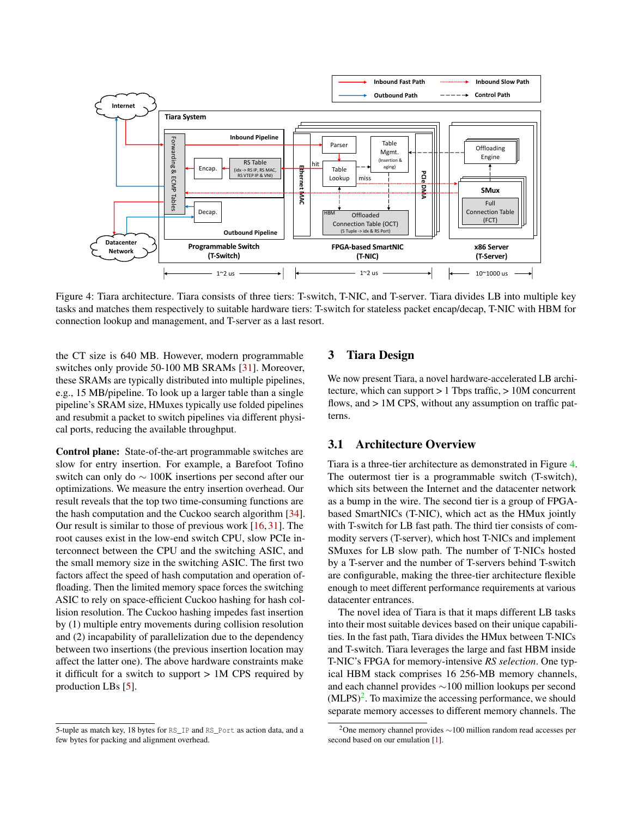<span id="page-3-1"></span>

Figure 4: Tiara architecture. Tiara consists of three tiers: T-switch, T-NIC, and T-server. Tiara divides LB into multiple key tasks and matches them respectively to suitable hardware tiers: T-switch for stateless packet encap/decap, T-NIC with HBM for connection lookup and management, and T-server as a last resort.

the CT size is 640 MB. However, modern programmable switches only provide 50-100 MB SRAMs [\[31\]](#page-13-0). Moreover, these SRAMs are typically distributed into multiple pipelines, e.g., 15 MB/pipeline. To look up a larger table than a single pipeline's SRAM size, HMuxes typically use folded pipelines and resubmit a packet to switch pipelines via different physical ports, reducing the available throughput.

Control plane: State-of-the-art programmable switches are slow for entry insertion. For example, a Barefoot Tofino switch can only do ∼ 100K insertions per second after our optimizations. We measure the entry insertion overhead. Our result reveals that the top two time-consuming functions are the hash computation and the Cuckoo search algorithm [\[34\]](#page-13-6). Our result is similar to those of previous work [\[16,](#page-12-6) [31\]](#page-13-0). The root causes exist in the low-end switch CPU, slow PCIe interconnect between the CPU and the switching ASIC, and the small memory size in the switching ASIC. The first two factors affect the speed of hash computation and operation offloading. Then the limited memory space forces the switching ASIC to rely on space-efficient Cuckoo hashing for hash collision resolution. The Cuckoo hashing impedes fast insertion by (1) multiple entry movements during collision resolution and (2) incapability of parallelization due to the dependency between two insertions (the previous insertion location may affect the latter one). The above hardware constraints make it difficult for a switch to support > 1M CPS required by production LBs [\[5\]](#page-12-12).

# 3 Tiara Design

We now present Tiara, a novel hardware-accelerated LB architecture, which can support > 1 Tbps traffic, > 10M concurrent flows, and  $> 1M$  CPS, without any assumption on traffic patterns.

# <span id="page-3-0"></span>3.1 Architecture Overview

Tiara is a three-tier architecture as demonstrated in Figure [4.](#page-3-1) The outermost tier is a programmable switch (T-switch), which sits between the Internet and the datacenter network as a bump in the wire. The second tier is a group of FPGAbased SmartNICs (T-NIC), which act as the HMux jointly with T-switch for LB fast path. The third tier consists of commodity servers (T-server), which host T-NICs and implement SMuxes for LB slow path. The number of T-NICs hosted by a T-server and the number of T-servers behind T-switch are configurable, making the three-tier architecture flexible enough to meet different performance requirements at various datacenter entrances.

The novel idea of Tiara is that it maps different LB tasks into their most suitable devices based on their unique capabilities. In the fast path, Tiara divides the HMux between T-NICs and T-switch. Tiara leverages the large and fast HBM inside T-NIC's FPGA for memory-intensive *RS selection*. One typical HBM stack comprises 16 256-MB memory channels, and each channel provides ∼100 million lookups per second  $(MLPS)^2$  $(MLPS)^2$ . To maximize the accessing performance, we should separate memory accesses to different memory channels. The

<sup>5-</sup>tuple as match key, 18 bytes for RS\_IP and RS\_Port as action data, and a few bytes for packing and alignment overhead.

<span id="page-3-2"></span><sup>&</sup>lt;sup>2</sup>One memory channel provides  $\sim$ 100 million random read accesses per second based on our emulation [\[1\]](#page-12-15).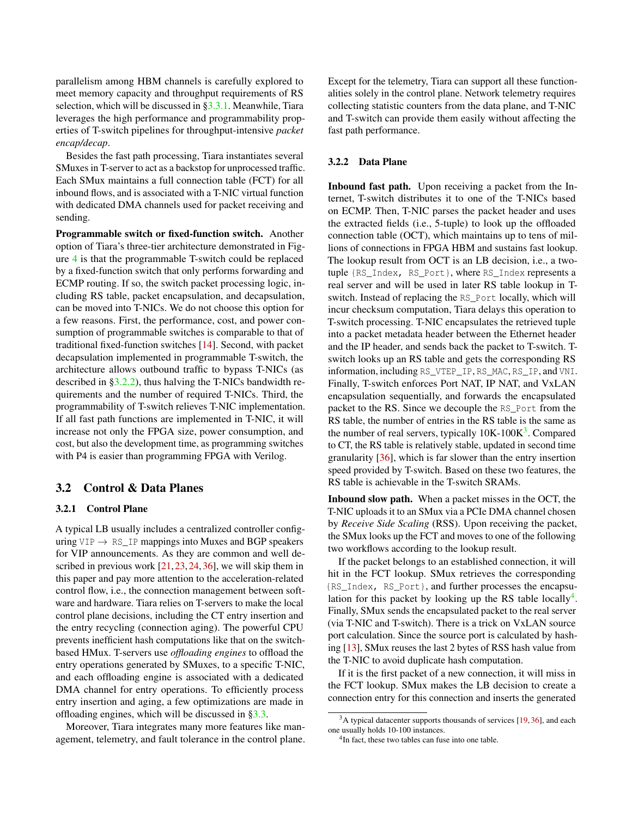parallelism among HBM channels is carefully explored to meet memory capacity and throughput requirements of RS selection, which will be discussed in [§3.3.1.](#page-5-1) Meanwhile, Tiara leverages the high performance and programmability properties of T-switch pipelines for throughput-intensive *packet encap/decap*.

Besides the fast path processing, Tiara instantiates several SMuxes in T-server to act as a backstop for unprocessed traffic. Each SMux maintains a full connection table (FCT) for all inbound flows, and is associated with a T-NIC virtual function with dedicated DMA channels used for packet receiving and sending.

Programmable switch or fixed-function switch. Another option of Tiara's three-tier architecture demonstrated in Figure [4](#page-3-1) is that the programmable T-switch could be replaced by a fixed-function switch that only performs forwarding and ECMP routing. If so, the switch packet processing logic, including RS table, packet encapsulation, and decapsulation, can be moved into T-NICs. We do not choose this option for a few reasons. First, the performance, cost, and power consumption of programmable switches is comparable to that of traditional fixed-function switches [\[14\]](#page-12-16). Second, with packet decapsulation implemented in programmable T-switch, the architecture allows outbound traffic to bypass T-NICs (as described in [§3.2.2\)](#page-4-0), thus halving the T-NICs bandwidth requirements and the number of required T-NICs. Third, the programmability of T-switch relieves T-NIC implementation. If all fast path functions are implemented in T-NIC, it will increase not only the FPGA size, power consumption, and cost, but also the development time, as programming switches with P4 is easier than programming FPGA with Verilog.

# 3.2 Control & Data Planes

#### 3.2.1 Control Plane

A typical LB usually includes a centralized controller configuring  $VIP \rightarrow RSIP$  mappings into Muxes and BGP speakers for VIP announcements. As they are common and well described in previous work [\[21,](#page-12-3) [23,](#page-12-7) [24,](#page-12-5) [36\]](#page-13-1), we will skip them in this paper and pay more attention to the acceleration-related control flow, i.e., the connection management between software and hardware. Tiara relies on T-servers to make the local control plane decisions, including the CT entry insertion and the entry recycling (connection aging). The powerful CPU prevents inefficient hash computations like that on the switchbased HMux. T-servers use *offloading engines* to offload the entry operations generated by SMuxes, to a specific T-NIC, and each offloading engine is associated with a dedicated DMA channel for entry operations. To efficiently process entry insertion and aging, a few optimizations are made in offloading engines, which will be discussed in [§3.3.](#page-5-0)

Moreover, Tiara integrates many more features like management, telemetry, and fault tolerance in the control plane. Except for the telemetry, Tiara can support all these functionalities solely in the control plane. Network telemetry requires collecting statistic counters from the data plane, and T-NIC and T-switch can provide them easily without affecting the fast path performance.

# <span id="page-4-0"></span>3.2.2 Data Plane

Inbound fast path. Upon receiving a packet from the Internet, T-switch distributes it to one of the T-NICs based on ECMP. Then, T-NIC parses the packet header and uses the extracted fields (i.e., 5-tuple) to look up the offloaded connection table (OCT), which maintains up to tens of millions of connections in FPGA HBM and sustains fast lookup. The lookup result from OCT is an LB decision, i.e., a twotuple {RS\_Index, RS\_Port}, where RS\_Index represents a real server and will be used in later RS table lookup in Tswitch. Instead of replacing the RS\_Port locally, which will incur checksum computation, Tiara delays this operation to T-switch processing. T-NIC encapsulates the retrieved tuple into a packet metadata header between the Ethernet header and the IP header, and sends back the packet to T-switch. Tswitch looks up an RS table and gets the corresponding RS information, including RS\_VTEP\_IP, RS\_MAC, RS\_IP, and VNI. Finally, T-switch enforces Port NAT, IP NAT, and VxLAN encapsulation sequentially, and forwards the encapsulated packet to the RS. Since we decouple the RS\_Port from the RS table, the number of entries in the RS table is the same as the number of real servers, typically  $10K-100K^3$  $10K-100K^3$ . Compared to CT, the RS table is relatively stable, updated in second time granularity [\[36\]](#page-13-1), which is far slower than the entry insertion speed provided by T-switch. Based on these two features, the RS table is achievable in the T-switch SRAMs.

Inbound slow path. When a packet misses in the OCT, the T-NIC uploads it to an SMux via a PCIe DMA channel chosen by *Receive Side Scaling* (RSS). Upon receiving the packet, the SMux looks up the FCT and moves to one of the following two workflows according to the lookup result.

If the packet belongs to an established connection, it will hit in the FCT lookup. SMux retrieves the corresponding {RS\_Index, RS\_Port}, and further processes the encapsu-lation for this packet by looking up the RS table locally<sup>[4](#page-4-2)</sup>. Finally, SMux sends the encapsulated packet to the real server (via T-NIC and T-switch). There is a trick on VxLAN source port calculation. Since the source port is calculated by hashing [\[13\]](#page-12-17), SMux reuses the last 2 bytes of RSS hash value from the T-NIC to avoid duplicate hash computation.

If it is the first packet of a new connection, it will miss in the FCT lookup. SMux makes the LB decision to create a connection entry for this connection and inserts the generated

<span id="page-4-1"></span> $3A$  typical datacenter supports thousands of services [\[19,](#page-12-8) [36\]](#page-13-1), and each one usually holds 10-100 instances.

<span id="page-4-2"></span><sup>&</sup>lt;sup>4</sup>In fact, these two tables can fuse into one table.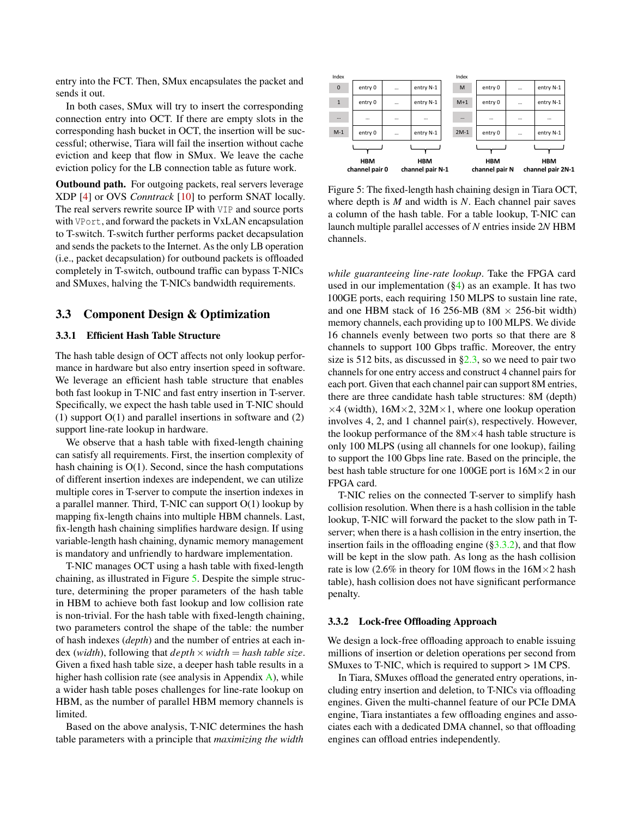entry into the FCT. Then, SMux encapsulates the packet and sends it out.

In both cases, SMux will try to insert the corresponding connection entry into OCT. If there are empty slots in the corresponding hash bucket in OCT, the insertion will be successful; otherwise, Tiara will fail the insertion without cache eviction and keep that flow in SMux. We leave the cache eviction policy for the LB connection table as future work.

Outbound path. For outgoing packets, real servers leverage XDP [\[4\]](#page-12-18) or OVS *Conntrack* [\[10\]](#page-12-19) to perform SNAT locally. The real servers rewrite source IP with VIP and source ports with VPort, and forward the packets in VxLAN encapsulation to T-switch. T-switch further performs packet decapsulation and sends the packets to the Internet. As the only LB operation (i.e., packet decapsulation) for outbound packets is offloaded completely in T-switch, outbound traffic can bypass T-NICs and SMuxes, halving the T-NICs bandwidth requirements.

## <span id="page-5-0"></span>3.3 Component Design & Optimization

#### <span id="page-5-1"></span>3.3.1 Efficient Hash Table Structure

The hash table design of OCT affects not only lookup performance in hardware but also entry insertion speed in software. We leverage an efficient hash table structure that enables both fast lookup in T-NIC and fast entry insertion in T-server. Specifically, we expect the hash table used in T-NIC should (1) support O(1) and parallel insertions in software and (2) support line-rate lookup in hardware.

We observe that a hash table with fixed-length chaining can satisfy all requirements. First, the insertion complexity of hash chaining is  $O(1)$ . Second, since the hash computations of different insertion indexes are independent, we can utilize multiple cores in T-server to compute the insertion indexes in a parallel manner. Third, T-NIC can support O(1) lookup by mapping fix-length chains into multiple HBM channels. Last, fix-length hash chaining simplifies hardware design. If using variable-length hash chaining, dynamic memory management is mandatory and unfriendly to hardware implementation.

T-NIC manages OCT using a hash table with fixed-length chaining, as illustrated in Figure [5.](#page-5-2) Despite the simple structure, determining the proper parameters of the hash table in HBM to achieve both fast lookup and low collision rate is non-trivial. For the hash table with fixed-length chaining, two parameters control the shape of the table: the number of hash indexes (*depth*) and the number of entries at each index (*width*), following that *depth*×*width* = *hash table size*. Given a fixed hash table size, a deeper hash table results in a higher hash collision rate (see analysis in Appendix  $\overrightarrow{A}$ ), while a wider hash table poses challenges for line-rate lookup on HBM, as the number of parallel HBM memory channels is limited.

Based on the above analysis, T-NIC determines the hash table parameters with a principle that *maximizing the width*

<span id="page-5-2"></span>

Figure 5: The fixed-length hash chaining design in Tiara OCT, where depth is *M* and width is *N*. Each channel pair saves a column of the hash table. For a table lookup, T-NIC can launch multiple parallel accesses of *N* entries inside 2*N* HBM channels.

*while guaranteeing line-rate lookup*. Take the FPGA card used in our implementation  $(\S 4)$  as an example. It has two 100GE ports, each requiring 150 MLPS to sustain line rate, and one HBM stack of 16 256-MB (8M  $\times$  256-bit width) memory channels, each providing up to 100 MLPS. We divide 16 channels evenly between two ports so that there are 8 channels to support 100 Gbps traffic. Moreover, the entry size is 512 bits, as discussed in  $\S 2.3$ , so we need to pair two channels for one entry access and construct 4 channel pairs for each port. Given that each channel pair can support 8M entries, there are three candidate hash table structures: 8M (depth)  $\times$ 4 (width), 16M $\times$ 2, 32M $\times$ 1, where one lookup operation involves 4, 2, and 1 channel pair(s), respectively. However, the lookup performance of the  $8M \times 4$  hash table structure is only 100 MLPS (using all channels for one lookup), failing to support the 100 Gbps line rate. Based on the principle, the best hash table structure for one 100GE port is  $16M \times 2$  in our FPGA card.

T-NIC relies on the connected T-server to simplify hash collision resolution. When there is a hash collision in the table lookup, T-NIC will forward the packet to the slow path in Tserver; when there is a hash collision in the entry insertion, the insertion fails in the offloading engine  $(\S3.3.2)$ , and that flow will be kept in the slow path. As long as the hash collision rate is low (2.6% in theory for 10M flows in the  $16M \times 2$  hash table), hash collision does not have significant performance penalty.

#### <span id="page-5-3"></span>3.3.2 Lock-free Offloading Approach

We design a lock-free offloading approach to enable issuing millions of insertion or deletion operations per second from SMuxes to T-NIC, which is required to support > 1M CPS.

In Tiara, SMuxes offload the generated entry operations, including entry insertion and deletion, to T-NICs via offloading engines. Given the multi-channel feature of our PCIe DMA engine, Tiara instantiates a few offloading engines and associates each with a dedicated DMA channel, so that offloading engines can offload entries independently.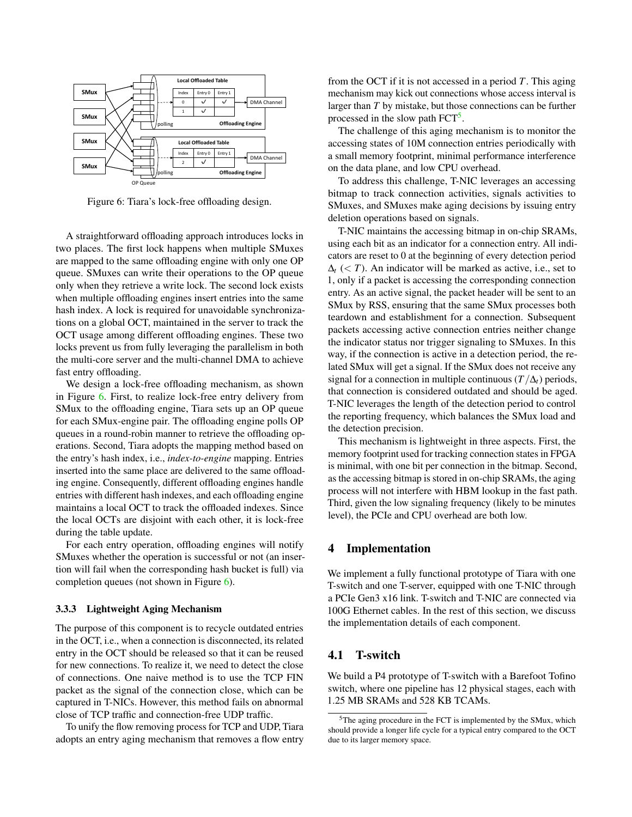<span id="page-6-1"></span>

Figure 6: Tiara's lock-free offloading design.

A straightforward offloading approach introduces locks in two places. The first lock happens when multiple SMuxes are mapped to the same offloading engine with only one OP queue. SMuxes can write their operations to the OP queue only when they retrieve a write lock. The second lock exists when multiple offloading engines insert entries into the same hash index. A lock is required for unavoidable synchronizations on a global OCT, maintained in the server to track the OCT usage among different offloading engines. These two locks prevent us from fully leveraging the parallelism in both the multi-core server and the multi-channel DMA to achieve fast entry offloading.

We design a lock-free offloading mechanism, as shown in Figure [6.](#page-6-1) First, to realize lock-free entry delivery from SMux to the offloading engine, Tiara sets up an OP queue for each SMux-engine pair. The offloading engine polls OP queues in a round-robin manner to retrieve the offloading operations. Second, Tiara adopts the mapping method based on the entry's hash index, i.e., *index-to-engine* mapping. Entries inserted into the same place are delivered to the same offloading engine. Consequently, different offloading engines handle entries with different hash indexes, and each offloading engine maintains a local OCT to track the offloaded indexes. Since the local OCTs are disjoint with each other, it is lock-free during the table update.

For each entry operation, offloading engines will notify SMuxes whether the operation is successful or not (an insertion will fail when the corresponding hash bucket is full) via completion queues (not shown in Figure [6\)](#page-6-1).

#### 3.3.3 Lightweight Aging Mechanism

The purpose of this component is to recycle outdated entries in the OCT, i.e., when a connection is disconnected, its related entry in the OCT should be released so that it can be reused for new connections. To realize it, we need to detect the close of connections. One naive method is to use the TCP FIN packet as the signal of the connection close, which can be captured in T-NICs. However, this method fails on abnormal close of TCP traffic and connection-free UDP traffic.

To unify the flow removing process for TCP and UDP, Tiara adopts an entry aging mechanism that removes a flow entry from the OCT if it is not accessed in a period *T*. This aging mechanism may kick out connections whose access interval is larger than *T* by mistake, but those connections can be further processed in the slow path FCT<sup>[5](#page-6-2)</sup>.

The challenge of this aging mechanism is to monitor the accessing states of 10M connection entries periodically with a small memory footprint, minimal performance interference on the data plane, and low CPU overhead.

To address this challenge, T-NIC leverages an accessing bitmap to track connection activities, signals activities to SMuxes, and SMuxes make aging decisions by issuing entry deletion operations based on signals.

T-NIC maintains the accessing bitmap in on-chip SRAMs, using each bit as an indicator for a connection entry. All indicators are reset to 0 at the beginning of every detection period  $\Delta$ <sup>t</sup> (< *T*). An indicator will be marked as active, i.e., set to 1, only if a packet is accessing the corresponding connection entry. As an active signal, the packet header will be sent to an SMux by RSS, ensuring that the same SMux processes both teardown and establishment for a connection. Subsequent packets accessing active connection entries neither change the indicator status nor trigger signaling to SMuxes. In this way, if the connection is active in a detection period, the related SMux will get a signal. If the SMux does not receive any signal for a connection in multiple continuous ( $T/\Delta_t$ ) periods, that connection is considered outdated and should be aged. T-NIC leverages the length of the detection period to control the reporting frequency, which balances the SMux load and the detection precision.

This mechanism is lightweight in three aspects. First, the memory footprint used for tracking connection states in FPGA is minimal, with one bit per connection in the bitmap. Second, as the accessing bitmap is stored in on-chip SRAMs, the aging process will not interfere with HBM lookup in the fast path. Third, given the low signaling frequency (likely to be minutes level), the PCIe and CPU overhead are both low.

# <span id="page-6-0"></span>4 Implementation

We implement a fully functional prototype of Tiara with one T-switch and one T-server, equipped with one T-NIC through a PCIe Gen3 x16 link. T-switch and T-NIC are connected via 100G Ethernet cables. In the rest of this section, we discuss the implementation details of each component.

### 4.1 T-switch

We build a P4 prototype of T-switch with a Barefoot Tofino switch, where one pipeline has 12 physical stages, each with 1.25 MB SRAMs and 528 KB TCAMs.

<span id="page-6-2"></span><sup>5</sup>The aging procedure in the FCT is implemented by the SMux, which should provide a longer life cycle for a typical entry compared to the OCT due to its larger memory space.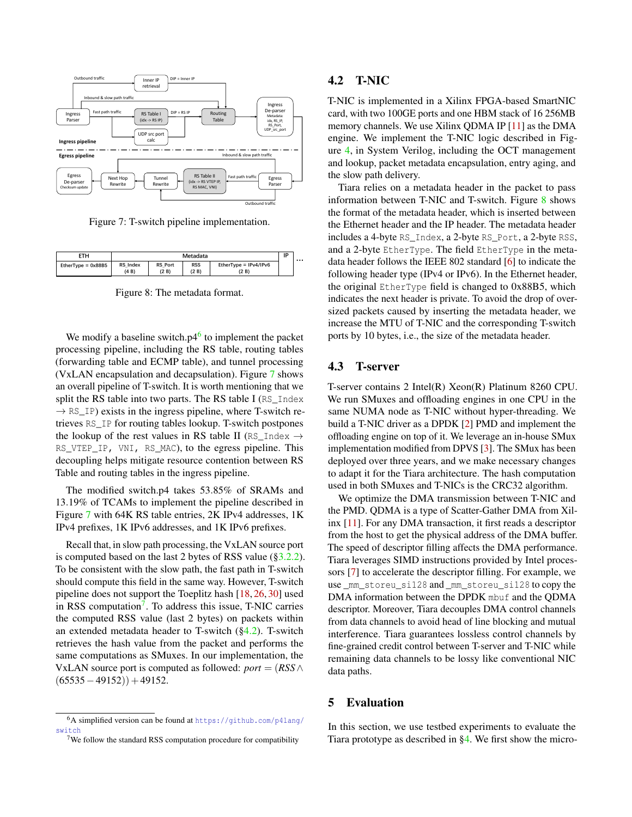<span id="page-7-2"></span>

Figure 7: T-switch pipeline implementation.

<span id="page-7-5"></span>

Figure 8: The metadata format.

We modify a baseline switch. $p4^6$  $p4^6$  to implement the packet processing pipeline, including the RS table, routing tables (forwarding table and ECMP table), and tunnel processing (VxLAN encapsulation and decapsulation). Figure [7](#page-7-2) shows an overall pipeline of T-switch. It is worth mentioning that we split the RS table into two parts. The RS table I (RS Index  $\rightarrow$  RS\_IP) exists in the ingress pipeline, where T-switch retrieves RS\_IP for routing tables lookup. T-switch postpones the lookup of the rest values in RS table II (RS\_Index  $\rightarrow$ RS\_VTEP\_IP, VNI, RS\_MAC), to the egress pipeline. This decoupling helps mitigate resource contention between RS Table and routing tables in the ingress pipeline.

The modified switch.p4 takes 53.85% of SRAMs and 13.19% of TCAMs to implement the pipeline described in Figure [7](#page-7-2) with 64K RS table entries, 2K IPv4 addresses, 1K IPv4 prefixes, 1K IPv6 addresses, and 1K IPv6 prefixes.

Recall that, in slow path processing, the VxLAN source port is computed based on the last 2 bytes of RSS value ( $\S$ 3.2.2). To be consistent with the slow path, the fast path in T-switch should compute this field in the same way. However, T-switch pipeline does not support the Toeplitz hash [\[18,](#page-12-20) [26,](#page-12-21) [30\]](#page-13-8) used in RSS computation<sup>[7](#page-7-3)</sup>. To address this issue, T-NIC carries the computed RSS value (last 2 bytes) on packets within an extended metadata header to T-switch ([§4.2\)](#page-7-4). T-switch retrieves the hash value from the packet and performs the same computations as SMuxes. In our implementation, the VxLAN source port is computed as followed:  $port = (RSS \land$  $(65535-49152)$ ) + 49152.

# <span id="page-7-4"></span>4.2 T-NIC

T-NIC is implemented in a Xilinx FPGA-based SmartNIC card, with two 100GE ports and one HBM stack of 16 256MB memory channels. We use Xilinx QDMA IP [\[11\]](#page-12-22) as the DMA engine. We implement the T-NIC logic described in Figure [4,](#page-3-1) in System Verilog, including the OCT management and lookup, packet metadata encapsulation, entry aging, and the slow path delivery.

Tiara relies on a metadata header in the packet to pass information between T-NIC and T-switch. Figure [8](#page-7-5) shows the format of the metadata header, which is inserted between the Ethernet header and the IP header. The metadata header includes a 4-byte RS\_Index, a 2-byte RS\_Port, a 2-byte RSS, and a 2-byte EtherType. The field EtherType in the metadata header follows the IEEE 802 standard [\[6\]](#page-12-23) to indicate the following header type (IPv4 or IPv6). In the Ethernet header, the original EtherType field is changed to 0x88B5, which indicates the next header is private. To avoid the drop of oversized packets caused by inserting the metadata header, we increase the MTU of T-NIC and the corresponding T-switch ports by 10 bytes, i.e., the size of the metadata header.

### <span id="page-7-6"></span>4.3 T-server

T-server contains 2 Intel(R) Xeon(R) Platinum 8260 CPU. We run SMuxes and offloading engines in one CPU in the same NUMA node as T-NIC without hyper-threading. We build a T-NIC driver as a DPDK [\[2\]](#page-12-24) PMD and implement the offloading engine on top of it. We leverage an in-house SMux implementation modified from DPVS [\[3\]](#page-12-11). The SMux has been deployed over three years, and we make necessary changes to adapt it for the Tiara architecture. The hash computation used in both SMuxes and T-NICs is the CRC32 algorithm.

We optimize the DMA transmission between T-NIC and the PMD. QDMA is a type of Scatter-Gather DMA from Xilinx [\[11\]](#page-12-22). For any DMA transaction, it first reads a descriptor from the host to get the physical address of the DMA buffer. The speed of descriptor filling affects the DMA performance. Tiara leverages SIMD instructions provided by Intel processors [\[7\]](#page-12-25) to accelerate the descriptor filling. For example, we use \_mm\_storeu\_si128 and \_mm\_storeu\_si128 to copy the DMA information between the DPDK mbuf and the QDMA descriptor. Moreover, Tiara decouples DMA control channels from data channels to avoid head of line blocking and mutual interference. Tiara guarantees lossless control channels by fine-grained credit control between T-server and T-NIC while remaining data channels to be lossy like conventional NIC data paths.

# <span id="page-7-0"></span>5 Evaluation

In this section, we use testbed experiments to evaluate the Tiara prototype as described in [§4.](#page-6-0) We first show the micro-

<span id="page-7-1"></span><sup>6</sup>A simplified version can be found at [https://github.com/p4lang/](https://github.com/p4lang/switch) [switch](https://github.com/p4lang/switch)

<span id="page-7-3"></span> $7$ We follow the standard RSS computation procedure for compatibility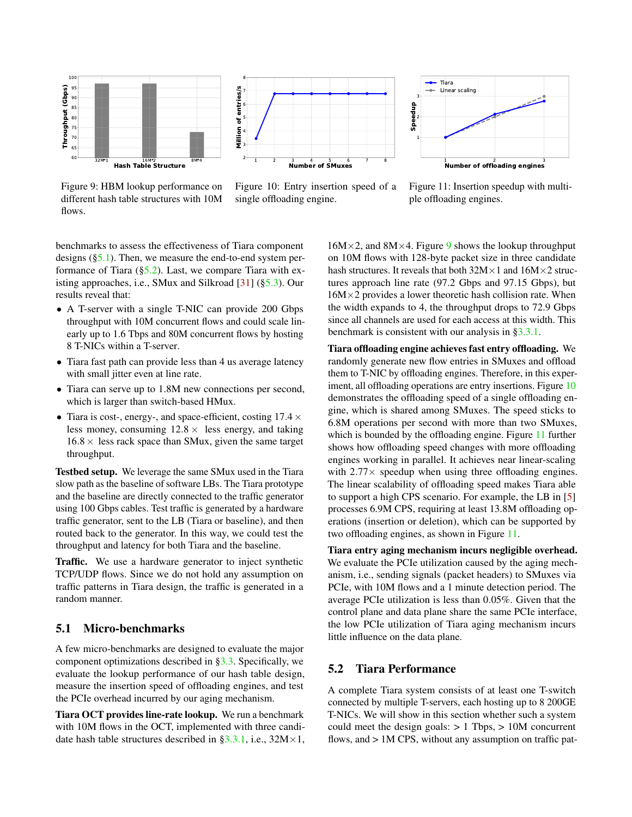<span id="page-8-2"></span>

Figure 9: HBM lookup performance on different hash table structures with 10M flows.



Figure 10: Entry insertion speed of a single offloading engine.



Figure 11: Insertion speedup with multiple offloading engines.

benchmarks to assess the effectiveness of Tiara component designs ([§5.1\)](#page-8-0). Then, we measure the end-to-end system performance of Tiara  $(\S5.2)$ . Last, we compare Tiara with existing approaches, i.e., SMux and Silkroad [\[31\]](#page-13-0) ([§5.3\)](#page-9-0). Our results reveal that:

- A T-server with a single T-NIC can provide 200 Gbps throughput with 10M concurrent flows and could scale linearly up to 1.6 Tbps and 80M concurrent flows by hosting 8 T-NICs within a T-server.
- Tiara fast path can provide less than 4 us average latency with small jitter even at line rate.
- Tiara can serve up to 1.8M new connections per second, which is larger than switch-based HMux.
- Tiara is cost-, energy-, and space-efficient, costing  $17.4 \times$ less money, consuming  $12.8 \times$  less energy, and taking  $16.8 \times$  less rack space than SMux, given the same target throughput.

Testbed setup. We leverage the same SMux used in the Tiara slow path as the baseline of software LBs. The Tiara prototype and the baseline are directly connected to the traffic generator using 100 Gbps cables. Test traffic is generated by a hardware traffic generator, sent to the LB (Tiara or baseline), and then routed back to the generator. In this way, we could test the throughput and latency for both Tiara and the baseline.

Traffic. We use a hardware generator to inject synthetic TCP/UDP flows. Since we do not hold any assumption on traffic patterns in Tiara design, the traffic is generated in a random manner.

### <span id="page-8-0"></span>5.1 Micro-benchmarks

A few micro-benchmarks are designed to evaluate the major component optimizations described in [§3.3.](#page-5-0) Specifically, we evaluate the lookup performance of our hash table design, measure the insertion speed of offloading engines, and test the PCIe overhead incurred by our aging mechanism.

Tiara OCT provides line-rate lookup. We run a benchmark with 10M flows in the OCT, implemented with three candidate hash table structures described in  $\S 3.3.1$ , i.e.,  $32M \times 1$ ,  $16M \times 2$ , and  $8M \times 4$ . Figure [9](#page-8-2) shows the lookup throughput on 10M flows with 128-byte packet size in three candidate hash structures. It reveals that both  $32M \times 1$  and  $16M \times 2$  structures approach line rate (97.2 Gbps and 97.15 Gbps), but  $16M \times 2$  provides a lower theoretic hash collision rate. When the width expands to 4, the throughput drops to 72.9 Gbps since all channels are used for each access at this width. This benchmark is consistent with our analysis in [§3.3.1.](#page-5-1)

Tiara offloading engine achieves fast entry offloading. We randomly generate new flow entries in SMuxes and offload them to T-NIC by offloading engines. Therefore, in this exper-iment, all offloading operations are entry insertions. Figure [10](#page-8-2) demonstrates the offloading speed of a single offloading engine, which is shared among SMuxes. The speed sticks to 6.8M operations per second with more than two SMuxes, which is bounded by the offloading engine. Figure [11](#page-8-2) further shows how offloading speed changes with more offloading engines working in parallel. It achieves near linear-scaling with  $2.77 \times$  speedup when using three offloading engines. The linear scalability of offloading speed makes Tiara able to support a high CPS scenario. For example, the LB in [\[5\]](#page-12-12) processes 6.9M CPS, requiring at least 13.8M offloading operations (insertion or deletion), which can be supported by two offloading engines, as shown in Figure [11.](#page-8-2)

Tiara entry aging mechanism incurs negligible overhead. We evaluate the PCIe utilization caused by the aging mechanism, i.e., sending signals (packet headers) to SMuxes via PCIe, with 10M flows and a 1 minute detection period. The average PCIe utilization is less than 0.05%. Given that the control plane and data plane share the same PCIe interface, the low PCIe utilization of Tiara aging mechanism incurs little influence on the data plane.

# <span id="page-8-1"></span>5.2 Tiara Performance

A complete Tiara system consists of at least one T-switch connected by multiple T-servers, each hosting up to 8 200GE T-NICs. We will show in this section whether such a system could meet the design goals:  $> 1$  Tbps,  $> 10M$  concurrent flows, and  $> 1M$  CPS, without any assumption on traffic pat-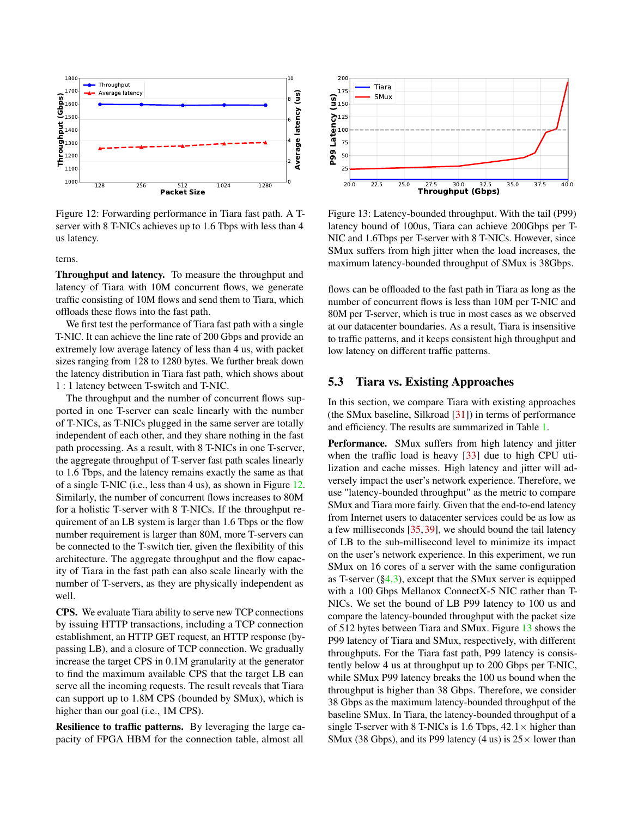<span id="page-9-1"></span>

Figure 12: Forwarding performance in Tiara fast path. A Tserver with 8 T-NICs achieves up to 1.6 Tbps with less than 4 us latency.

terns.

Throughput and latency. To measure the throughput and latency of Tiara with 10M concurrent flows, we generate traffic consisting of 10M flows and send them to Tiara, which offloads these flows into the fast path.

We first test the performance of Tiara fast path with a single T-NIC. It can achieve the line rate of 200 Gbps and provide an extremely low average latency of less than 4 us, with packet sizes ranging from 128 to 1280 bytes. We further break down the latency distribution in Tiara fast path, which shows about 1 : 1 latency between T-switch and T-NIC.

The throughput and the number of concurrent flows supported in one T-server can scale linearly with the number of T-NICs, as T-NICs plugged in the same server are totally independent of each other, and they share nothing in the fast path processing. As a result, with 8 T-NICs in one T-server, the aggregate throughput of T-server fast path scales linearly to 1.6 Tbps, and the latency remains exactly the same as that of a single T-NIC (i.e., less than 4 us), as shown in Figure [12.](#page-9-1) Similarly, the number of concurrent flows increases to 80M for a holistic T-server with 8 T-NICs. If the throughput requirement of an LB system is larger than 1.6 Tbps or the flow number requirement is larger than 80M, more T-servers can be connected to the T-switch tier, given the flexibility of this architecture. The aggregate throughput and the flow capacity of Tiara in the fast path can also scale linearly with the number of T-servers, as they are physically independent as well.

CPS. We evaluate Tiara ability to serve new TCP connections by issuing HTTP transactions, including a TCP connection establishment, an HTTP GET request, an HTTP response (bypassing LB), and a closure of TCP connection. We gradually increase the target CPS in 0.1M granularity at the generator to find the maximum available CPS that the target LB can serve all the incoming requests. The result reveals that Tiara can support up to 1.8M CPS (bounded by SMux), which is higher than our goal (i.e., 1M CPS).

Resilience to traffic patterns. By leveraging the large ca-

<span id="page-9-2"></span>

Figure 13: Latency-bounded throughput. With the tail (P99) latency bound of 100us, Tiara can achieve 200Gbps per T-NIC and 1.6Tbps per T-server with 8 T-NICs. However, since SMux suffers from high jitter when the load increases, the maximum latency-bounded throughput of SMux is 38Gbps.

flows can be offloaded to the fast path in Tiara as long as the number of concurrent flows is less than 10M per T-NIC and 80M per T-server, which is true in most cases as we observed at our datacenter boundaries. As a result, Tiara is insensitive to traffic patterns, and it keeps consistent high throughput and low latency on different traffic patterns.

### <span id="page-9-0"></span>5.3 Tiara vs. Existing Approaches

In this section, we compare Tiara with existing approaches (the SMux baseline, Silkroad [\[31\]](#page-13-0)) in terms of performance and efficiency. The results are summarized in Table [1.](#page-10-0)

**Pacific Space 12.5 Pacific Space 12.6 Pacific Space 12.6 Pacific Space 12.6 Pacific Space 12.6 Pacific Space 12.6 Pacific Space 12.6 Pacific Space 12.6 Pacific Space 12.6 Pacific Space 12.6 Pacific Sp** Performance. SMux suffers from high latency and jitter when the traffic load is heavy [\[33\]](#page-13-9) due to high CPU utilization and cache misses. High latency and jitter will adversely impact the user's network experience. Therefore, we use "latency-bounded throughput" as the metric to compare SMux and Tiara more fairly. Given that the end-to-end latency from Internet users to datacenter services could be as low as a few milliseconds [\[35,](#page-13-10) [39\]](#page-13-11), we should bound the tail latency of LB to the sub-millisecond level to minimize its impact on the user's network experience. In this experiment, we run SMux on 16 cores of a server with the same configuration as T-server  $(\S 4.3)$ , except that the SMux server is equipped with a 100 Gbps Mellanox ConnectX-5 NIC rather than T-NICs. We set the bound of LB P99 latency to 100 us and compare the latency-bounded throughput with the packet size of 512 bytes between Tiara and SMux. Figure [13](#page-9-2) shows the P99 latency of Tiara and SMux, respectively, with different throughputs. For the Tiara fast path, P99 latency is consistently below 4 us at throughput up to 200 Gbps per T-NIC, while SMux P99 latency breaks the 100 us bound when the throughput is higher than 38 Gbps. Therefore, we consider 38 Gbps as the maximum latency-bounded throughput of the baseline SMux. In Tiara, the latency-bounded throughput of a single T-server with 8 T-NICs is 1.6 Tbps,  $42.1 \times$  higher than SMux (38 Gbps), and its P99 latency (4 us) is  $25 \times$  lower than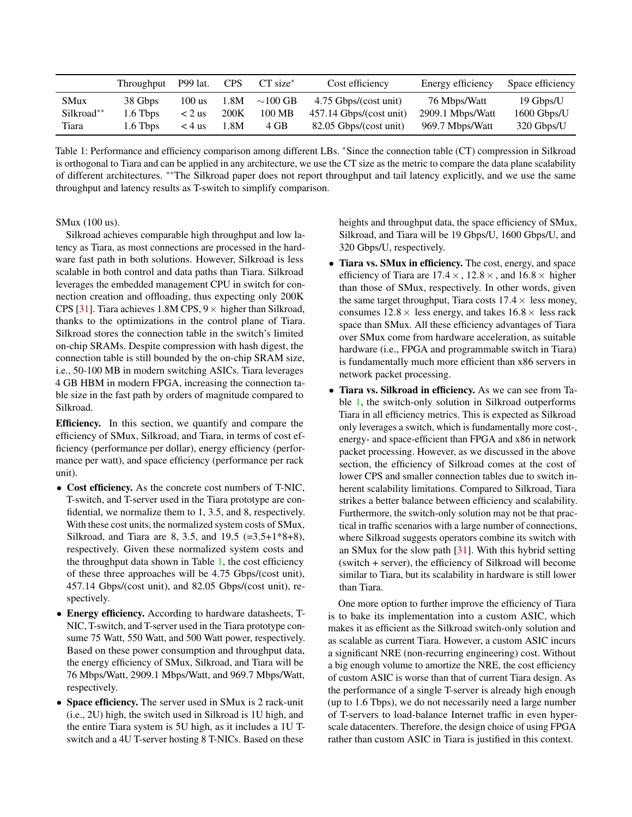<span id="page-10-0"></span>

|                           | Throughput          | <b>P99</b> lat.      | <b>CPS</b>   | $CT size^*$             | Cost efficiency                                    | Energy efficiency                | Space efficiency         |
|---------------------------|---------------------|----------------------|--------------|-------------------------|----------------------------------------------------|----------------------------------|--------------------------|
| <b>SMux</b><br>Silkroad** | 38 Gbps<br>1.6 Tbps | $100$ us<br>$< 2$ us | 1.8M<br>200K | $\sim$ 100 GB<br>100 MB | 4.75 Gbps/(cost unit)<br>$457.14$ Gbps/(cost unit) | 76 Mbps/Watt<br>2909.1 Mbps/Watt | 19 Gbps/U<br>1600 Gbps/U |
| Tiara                     | $1.6$ Tbps          | $<$ 4 us             | 1.8M         | 4 GB                    | 82.05 Gbps/(cost unit)                             | 969.7 Mbps/Watt                  | 320 Gbps/U               |

Table 1: Performance and efficiency comparison among different LBs. <sup>∗</sup>Since the connection table (CT) compression in Silkroad is orthogonal to Tiara and can be applied in any architecture, we use the CT size as the metric to compare the data plane scalability of different architectures. ∗∗The Silkroad paper does not report throughput and tail latency explicitly, and we use the same throughput and latency results as T-switch to simplify comparison.

#### SMux (100 us).

Silkroad achieves comparable high throughput and low latency as Tiara, as most connections are processed in the hardware fast path in both solutions. However, Silkroad is less scalable in both control and data paths than Tiara. Silkroad leverages the embedded management CPU in switch for connection creation and offloading, thus expecting only 200K CPS [\[31\]](#page-13-0). Tiara achieves 1.8M CPS,  $9 \times$  higher than Silkroad, thanks to the optimizations in the control plane of Tiara. Silkroad stores the connection table in the switch's limited on-chip SRAMs. Despite compression with hash digest, the connection table is still bounded by the on-chip SRAM size, i.e., 50-100 MB in modern switching ASICs. Tiara leverages 4 GB HBM in modern FPGA, increasing the connection table size in the fast path by orders of magnitude compared to Silkroad.

Efficiency. In this section, we quantify and compare the efficiency of SMux, Silkroad, and Tiara, in terms of cost efficiency (performance per dollar), energy efficiency (performance per watt), and space efficiency (performance per rack unit).

- Cost efficiency. As the concrete cost numbers of T-NIC, T-switch, and T-server used in the Tiara prototype are confidential, we normalize them to 1, 3.5, and 8, respectively. With these cost units, the normalized system costs of SMux, Silkroad, and Tiara are 8, 3.5, and 19.5 (=3.5+1\*8+8), respectively. Given these normalized system costs and the throughput data shown in Table [1,](#page-10-0) the cost efficiency of these three approaches will be 4.75 Gbps/(cost unit), 457.14 Gbps/(cost unit), and 82.05 Gbps/(cost unit), respectively.
- Energy efficiency. According to hardware datasheets, T-NIC, T-switch, and T-server used in the Tiara prototype consume 75 Watt, 550 Watt, and 500 Watt power, respectively. Based on these power consumption and throughput data, the energy efficiency of SMux, Silkroad, and Tiara will be 76 Mbps/Watt, 2909.1 Mbps/Watt, and 969.7 Mbps/Watt, respectively.
- Space efficiency. The server used in SMux is 2 rack-unit (i.e., 2U) high, the switch used in Silkroad is 1U high, and the entire Tiara system is 5U high, as it includes a 1U Tswitch and a 4U T-server hosting 8 T-NICs. Based on these

heights and throughput data, the space efficiency of SMux, Silkroad, and Tiara will be 19 Gbps/U, 1600 Gbps/U, and 320 Gbps/U, respectively.

- Tiara vs. SMux in efficiency. The cost, energy, and space efficiency of Tiara are  $17.4 \times$ ,  $12.8 \times$ , and  $16.8 \times$  higher than those of SMux, respectively. In other words, given the same target throughput, Tiara costs  $17.4 \times$  less money, consumes  $12.8 \times$  less energy, and takes  $16.8 \times$  less rack space than SMux. All these efficiency advantages of Tiara over SMux come from hardware acceleration, as suitable hardware (i.e., FPGA and programmable switch in Tiara) is fundamentally much more efficient than x86 servers in network packet processing.
- Tiara vs. Silkroad in efficiency. As we can see from Table [1,](#page-10-0) the switch-only solution in Silkroad outperforms Tiara in all efficiency metrics. This is expected as Silkroad only leverages a switch, which is fundamentally more cost-, energy- and space-efficient than FPGA and x86 in network packet processing. However, as we discussed in the above section, the efficiency of Silkroad comes at the cost of lower CPS and smaller connection tables due to switch inherent scalability limitations. Compared to Silkroad, Tiara strikes a better balance between efficiency and scalability. Furthermore, the switch-only solution may not be that practical in traffic scenarios with a large number of connections, where Silkroad suggests operators combine its switch with an SMux for the slow path [\[31\]](#page-13-0). With this hybrid setting (switch + server), the efficiency of Silkroad will become similar to Tiara, but its scalability in hardware is still lower than Tiara.

One more option to further improve the efficiency of Tiara is to bake its implementation into a custom ASIC, which makes it as efficient as the Silkroad switch-only solution and as scalable as current Tiara. However, a custom ASIC incurs a significant NRE (non-recurring engineering) cost. Without a big enough volume to amortize the NRE, the cost efficiency of custom ASIC is worse than that of current Tiara design. As the performance of a single T-server is already high enough (up to 1.6 Tbps), we do not necessarily need a large number of T-servers to load-balance Internet traffic in even hyperscale datacenters. Therefore, the design choice of using FPGA rather than custom ASIC in Tiara is justified in this context.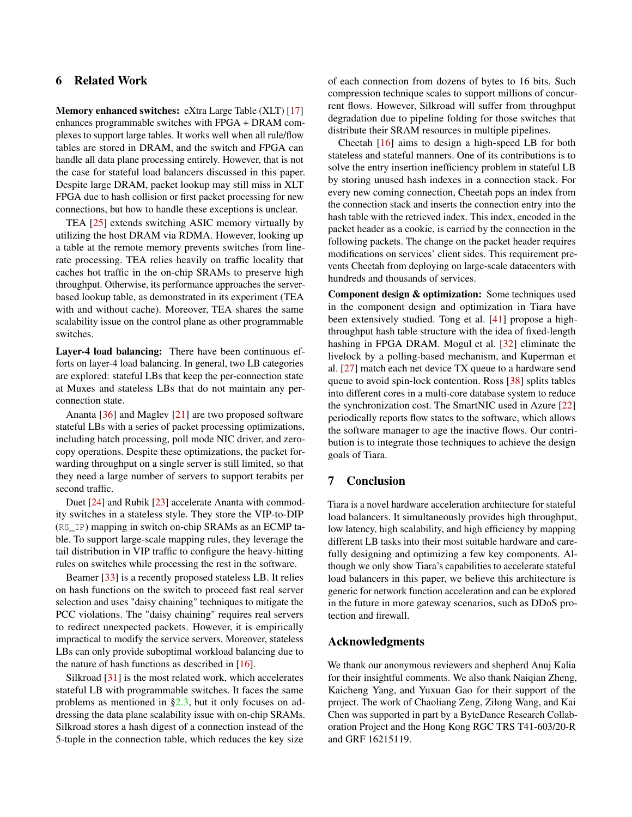# 6 Related Work

Memory enhanced switches: eXtra Large Table (XLT) [\[17\]](#page-12-26) enhances programmable switches with FPGA + DRAM complexes to support large tables. It works well when all rule/flow tables are stored in DRAM, and the switch and FPGA can handle all data plane processing entirely. However, that is not the case for stateful load balancers discussed in this paper. Despite large DRAM, packet lookup may still miss in XLT FPGA due to hash collision or first packet processing for new connections, but how to handle these exceptions is unclear.

TEA [\[25\]](#page-12-0) extends switching ASIC memory virtually by utilizing the host DRAM via RDMA. However, looking up a table at the remote memory prevents switches from linerate processing. TEA relies heavily on traffic locality that caches hot traffic in the on-chip SRAMs to preserve high throughput. Otherwise, its performance approaches the serverbased lookup table, as demonstrated in its experiment (TEA with and without cache). Moreover, TEA shares the same scalability issue on the control plane as other programmable switches.

Layer-4 load balancing: There have been continuous efforts on layer-4 load balancing. In general, two LB categories are explored: stateful LBs that keep the per-connection state at Muxes and stateless LBs that do not maintain any perconnection state.

Ananta [\[36\]](#page-13-1) and Maglev [\[21\]](#page-12-3) are two proposed software stateful LBs with a series of packet processing optimizations, including batch processing, poll mode NIC driver, and zerocopy operations. Despite these optimizations, the packet forwarding throughput on a single server is still limited, so that they need a large number of servers to support terabits per second traffic.

Duet [\[24\]](#page-12-5) and Rubik [\[23\]](#page-12-7) accelerate Ananta with commodity switches in a stateless style. They store the VIP-to-DIP (RS\_IP) mapping in switch on-chip SRAMs as an ECMP table. To support large-scale mapping rules, they leverage the tail distribution in VIP traffic to configure the heavy-hitting rules on switches while processing the rest in the software.

Beamer [\[33\]](#page-13-9) is a recently proposed stateless LB. It relies on hash functions on the switch to proceed fast real server selection and uses "daisy chaining" techniques to mitigate the PCC violations. The "daisy chaining" requires real servers to redirect unexpected packets. However, it is empirically impractical to modify the service servers. Moreover, stateless LBs can only provide suboptimal workload balancing due to the nature of hash functions as described in [\[16\]](#page-12-6).

Silkroad [\[31\]](#page-13-0) is the most related work, which accelerates stateful LB with programmable switches. It faces the same problems as mentioned in [§2.3,](#page-2-0) but it only focuses on addressing the data plane scalability issue with on-chip SRAMs. Silkroad stores a hash digest of a connection instead of the 5-tuple in the connection table, which reduces the key size

of each connection from dozens of bytes to 16 bits. Such compression technique scales to support millions of concurrent flows. However, Silkroad will suffer from throughput degradation due to pipeline folding for those switches that distribute their SRAM resources in multiple pipelines.

Cheetah [\[16\]](#page-12-6) aims to design a high-speed LB for both stateless and stateful manners. One of its contributions is to solve the entry insertion inefficiency problem in stateful LB by storing unused hash indexes in a connection stack. For every new coming connection, Cheetah pops an index from the connection stack and inserts the connection entry into the hash table with the retrieved index. This index, encoded in the packet header as a cookie, is carried by the connection in the following packets. The change on the packet header requires modifications on services' client sides. This requirement prevents Cheetah from deploying on large-scale datacenters with hundreds and thousands of services.

Component design & optimization: Some techniques used in the component design and optimization in Tiara have been extensively studied. Tong et al. [\[41\]](#page-13-12) propose a highthroughput hash table structure with the idea of fixed-length hashing in FPGA DRAM. Mogul et al. [\[32\]](#page-13-13) eliminate the livelock by a polling-based mechanism, and Kuperman et al. [\[27\]](#page-12-27) match each net device TX queue to a hardware send queue to avoid spin-lock contention. Ross [\[38\]](#page-13-14) splits tables into different cores in a multi-core database system to reduce the synchronization cost. The SmartNIC used in Azure [\[22\]](#page-12-9) periodically reports flow states to the software, which allows the software manager to age the inactive flows. Our contribution is to integrate those techniques to achieve the design goals of Tiara.

# 7 Conclusion

Tiara is a novel hardware acceleration architecture for stateful load balancers. It simultaneously provides high throughput, low latency, high scalability, and high efficiency by mapping different LB tasks into their most suitable hardware and carefully designing and optimizing a few key components. Although we only show Tiara's capabilities to accelerate stateful load balancers in this paper, we believe this architecture is generic for network function acceleration and can be explored in the future in more gateway scenarios, such as DDoS protection and firewall.

#### Acknowledgments

We thank our anonymous reviewers and shepherd Anuj Kalia for their insightful comments. We also thank Naiqian Zheng, Kaicheng Yang, and Yuxuan Gao for their support of the project. The work of Chaoliang Zeng, Zilong Wang, and Kai Chen was supported in part by a ByteDance Research Collaboration Project and the Hong Kong RGC TRS T41-603/20-R and GRF 16215119.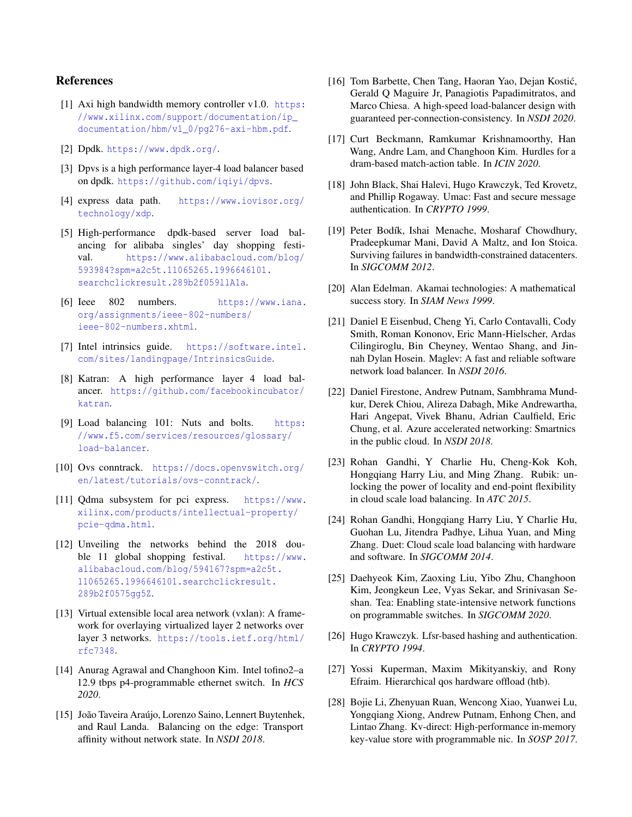# References

- <span id="page-12-15"></span>[1] Axi high bandwidth memory controller v1.0. [https:](https://www.xilinx.com/support/documentation/ip_documentation/hbm/v1_0/pg276-axi-hbm.pdf) [//www.xilinx.com/support/documentation/ip\\_](https://www.xilinx.com/support/documentation/ip_documentation/hbm/v1_0/pg276-axi-hbm.pdf) [documentation/hbm/v1\\_0/pg276-axi-hbm.pdf](https://www.xilinx.com/support/documentation/ip_documentation/hbm/v1_0/pg276-axi-hbm.pdf).
- <span id="page-12-24"></span>[2] Dpdk. <https://www.dpdk.org/>.
- <span id="page-12-11"></span>[3] Dpvs is a high performance layer-4 load balancer based on dpdk. <https://github.com/iqiyi/dpvs>.
- <span id="page-12-18"></span>[4] express data path. [https://www.iovisor.org/](https://www.iovisor.org/technology/xdp) [technology/xdp](https://www.iovisor.org/technology/xdp).
- <span id="page-12-12"></span>[5] High-performance dpdk-based server load balancing for alibaba singles' day shopping festival. [https://www.alibabacloud.com/blog/](https://www.alibabacloud.com/blog/593984?spm=a2c5t.11065265.1996646101.searchclickresult.289b2f059llA1a) [593984?spm=a2c5t.11065265.1996646101.](https://www.alibabacloud.com/blog/593984?spm=a2c5t.11065265.1996646101.searchclickresult.289b2f059llA1a) [searchclickresult.289b2f059llA1a](https://www.alibabacloud.com/blog/593984?spm=a2c5t.11065265.1996646101.searchclickresult.289b2f059llA1a).
- <span id="page-12-23"></span>[6] Ieee 802 numbers. [https://www.iana.](https://www.iana.org/assignments/ieee-802-numbers/ieee-802-numbers.xhtml) [org/assignments/ieee-802-numbers/](https://www.iana.org/assignments/ieee-802-numbers/ieee-802-numbers.xhtml) [ieee-802-numbers.xhtml](https://www.iana.org/assignments/ieee-802-numbers/ieee-802-numbers.xhtml).
- <span id="page-12-25"></span>[7] Intel intrinsics guide. [https://software.intel.](https://software.intel.com/sites/landingpage/IntrinsicsGuide) [com/sites/landingpage/IntrinsicsGuide](https://software.intel.com/sites/landingpage/IntrinsicsGuide).
- <span id="page-12-13"></span>[8] Katran: A high performance layer 4 load balancer. [https://github.com/facebookincubator/](https://github.com/facebookincubator/katran) [katran](https://github.com/facebookincubator/katran).
- <span id="page-12-2"></span>[9] Load balancing 101: Nuts and bolts. [https:](https://www.f5.com/services/resources/glossary/load-balancer) [//www.f5.com/services/resources/glossary/](https://www.f5.com/services/resources/glossary/load-balancer) [load-balancer](https://www.f5.com/services/resources/glossary/load-balancer).
- <span id="page-12-19"></span>[10] Ovs conntrack. [https://docs.openvswitch.org/](https://docs.openvswitch.org/en/latest/tutorials/ovs-conntrack/) [en/latest/tutorials/ovs-conntrack/](https://docs.openvswitch.org/en/latest/tutorials/ovs-conntrack/).
- <span id="page-12-22"></span>[11] Qdma subsystem for pci express. [https://www.](https://www.xilinx.com/products/intellectual-property/pcie-qdma.html) [xilinx.com/products/intellectual-property/](https://www.xilinx.com/products/intellectual-property/pcie-qdma.html) [pcie-qdma.html](https://www.xilinx.com/products/intellectual-property/pcie-qdma.html).
- <span id="page-12-1"></span>[12] Unveiling the networks behind the 2018 double 11 global shopping festival. [https://www.](https://www.alibabacloud.com/blog/594167?spm=a2c5t.11065265.1996646101.searchclickresult.289b2f0575gg5Z) [alibabacloud.com/blog/594167?spm=a2c5t.](https://www.alibabacloud.com/blog/594167?spm=a2c5t.11065265.1996646101.searchclickresult.289b2f0575gg5Z) [11065265.1996646101.searchclickresult.](https://www.alibabacloud.com/blog/594167?spm=a2c5t.11065265.1996646101.searchclickresult.289b2f0575gg5Z) [289b2f0575gg5Z](https://www.alibabacloud.com/blog/594167?spm=a2c5t.11065265.1996646101.searchclickresult.289b2f0575gg5Z).
- <span id="page-12-17"></span>[13] Virtual extensible local area network (vxlan): A framework for overlaying virtualized layer 2 networks over layer 3 networks. [https://tools.ietf.org/html/](https://tools.ietf.org/html/rfc7348) [rfc7348](https://tools.ietf.org/html/rfc7348).
- <span id="page-12-16"></span>[14] Anurag Agrawal and Changhoon Kim. Intel tofino2–a 12.9 tbps p4-programmable ethernet switch. In *HCS 2020*.
- <span id="page-12-4"></span>[15] João Taveira Araújo, Lorenzo Saino, Lennert Buytenhek, and Raul Landa. Balancing on the edge: Transport affinity without network state. In *NSDI 2018*.
- <span id="page-12-6"></span>[16] Tom Barbette, Chen Tang, Haoran Yao, Dejan Kostić, Gerald Q Maguire Jr, Panagiotis Papadimitratos, and Marco Chiesa. A high-speed load-balancer design with guaranteed per-connection-consistency. In *NSDI 2020*.
- <span id="page-12-26"></span>[17] Curt Beckmann, Ramkumar Krishnamoorthy, Han Wang, Andre Lam, and Changhoon Kim. Hurdles for a dram-based match-action table. In *ICIN 2020*.
- <span id="page-12-20"></span>[18] John Black, Shai Halevi, Hugo Krawczyk, Ted Krovetz, and Phillip Rogaway. Umac: Fast and secure message authentication. In *CRYPTO 1999*.
- <span id="page-12-8"></span>[19] Peter Bodík, Ishai Menache, Mosharaf Chowdhury, Pradeepkumar Mani, David A Maltz, and Ion Stoica. Surviving failures in bandwidth-constrained datacenters. In *SIGCOMM 2012*.
- <span id="page-12-14"></span>[20] Alan Edelman. Akamai technologies: A mathematical success story. In *SIAM News 1999*.
- <span id="page-12-3"></span>[21] Daniel E Eisenbud, Cheng Yi, Carlo Contavalli, Cody Smith, Roman Kononov, Eric Mann-Hielscher, Ardas Cilingiroglu, Bin Cheyney, Wentao Shang, and Jinnah Dylan Hosein. Maglev: A fast and reliable software network load balancer. In *NSDI 2016*.
- <span id="page-12-9"></span>[22] Daniel Firestone, Andrew Putnam, Sambhrama Mundkur, Derek Chiou, Alireza Dabagh, Mike Andrewartha, Hari Angepat, Vivek Bhanu, Adrian Caulfield, Eric Chung, et al. Azure accelerated networking: Smartnics in the public cloud. In *NSDI 2018*.
- <span id="page-12-7"></span>[23] Rohan Gandhi, Y Charlie Hu, Cheng-Kok Koh, Hongqiang Harry Liu, and Ming Zhang. Rubik: unlocking the power of locality and end-point flexibility in cloud scale load balancing. In *ATC 2015*.
- <span id="page-12-5"></span>[24] Rohan Gandhi, Hongqiang Harry Liu, Y Charlie Hu, Guohan Lu, Jitendra Padhye, Lihua Yuan, and Ming Zhang. Duet: Cloud scale load balancing with hardware and software. In *SIGCOMM 2014*.
- <span id="page-12-0"></span>[25] Daehyeok Kim, Zaoxing Liu, Yibo Zhu, Changhoon Kim, Jeongkeun Lee, Vyas Sekar, and Srinivasan Seshan. Tea: Enabling state-intensive network functions on programmable switches. In *SIGCOMM 2020*.
- <span id="page-12-21"></span>[26] Hugo Krawczyk. Lfsr-based hashing and authentication. In *CRYPTO 1994*.
- <span id="page-12-27"></span>[27] Yossi Kuperman, Maxim Mikityanskiy, and Rony Efraim. Hierarchical qos hardware offload (htb).
- <span id="page-12-10"></span>[28] Bojie Li, Zhenyuan Ruan, Wencong Xiao, Yuanwei Lu, Yongqiang Xiong, Andrew Putnam, Enhong Chen, and Lintao Zhang. Kv-direct: High-performance in-memory key-value store with programmable nic. In *SOSP 2017*.